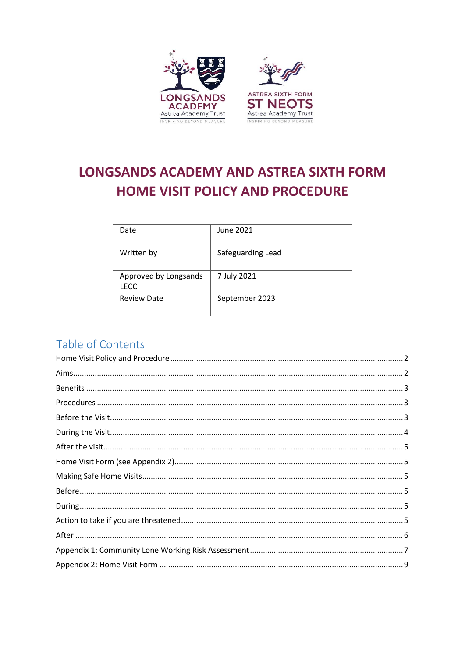

# **LONGSANDS ACADEMY AND ASTREA SIXTH FORM HOME VISIT POLICY AND PROCEDURE**

| Date                                 | June 2021         |
|--------------------------------------|-------------------|
| Written by                           | Safeguarding Lead |
| Approved by Longsands<br><b>LECC</b> | 7 July 2021       |
| <b>Review Date</b>                   | September 2023    |

# Table of Contents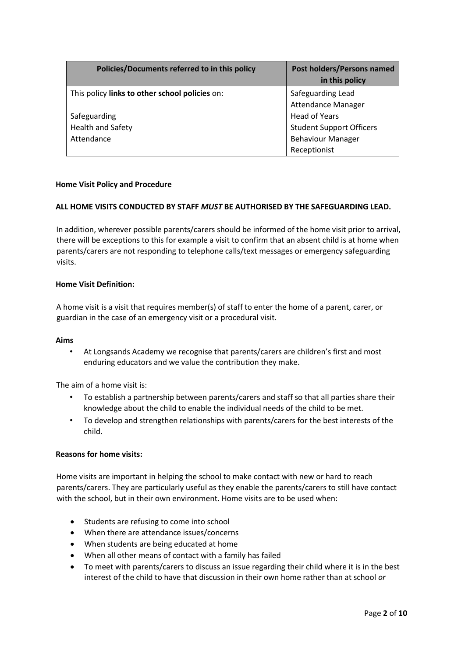| Policies/Documents referred to in this policy  | <b>Post holders/Persons named</b><br>in this policy |
|------------------------------------------------|-----------------------------------------------------|
| This policy links to other school policies on: | Safeguarding Lead                                   |
|                                                | <b>Attendance Manager</b>                           |
| Safeguarding                                   | <b>Head of Years</b>                                |
| <b>Health and Safety</b>                       | <b>Student Support Officers</b>                     |
| Attendance                                     | <b>Behaviour Manager</b>                            |
|                                                | Receptionist                                        |

# <span id="page-1-0"></span>**Home Visit Policy and Procedure**

# **ALL HOME VISITS CONDUCTED BY STAFF** *MUST* **BE AUTHORISED BY THE SAFEGUARDING LEAD.**

In addition, wherever possible parents/carers should be informed of the home visit prior to arrival, there will be exceptions to this for example a visit to confirm that an absent child is at home when parents/carers are not responding to telephone calls/text messages or emergency safeguarding visits.

#### **Home Visit Definition:**

A home visit is a visit that requires member(s) of staff to enter the home of a parent, carer, or guardian in the case of an emergency visit or a procedural visit.

# <span id="page-1-1"></span>**Aims**

• At Longsands Academy we recognise that parents/carers are children's first and most enduring educators and we value the contribution they make.

The aim of a home visit is:

- To establish a partnership between parents/carers and staff so that all parties share their knowledge about the child to enable the individual needs of the child to be met.
- To develop and strengthen relationships with parents/carers for the best interests of the child.

# **Reasons for home visits:**

Home visits are important in helping the school to make contact with new or hard to reach parents/carers. They are particularly useful as they enable the parents/carers to still have contact with the school, but in their own environment. Home visits are to be used when:

- Students are refusing to come into school
- When there are attendance issues/concerns
- When students are being educated at home
- When all other means of contact with a family has failed
- To meet with parents/carers to discuss an issue regarding their child where it is in the best interest of the child to have that discussion in their own home rather than at school *or*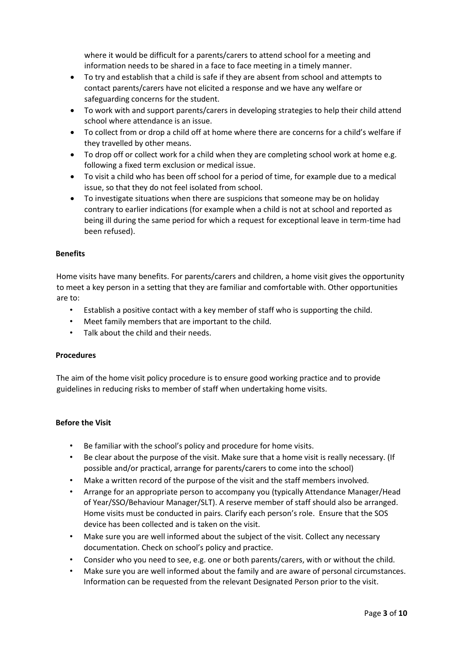where it would be difficult for a parents/carers to attend school for a meeting and information needs to be shared in a face to face meeting in a timely manner.

- To try and establish that a child is safe if they are absent from school and attempts to contact parents/carers have not elicited a response and we have any welfare or safeguarding concerns for the student.
- To work with and support parents/carers in developing strategies to help their child attend school where attendance is an issue.
- To collect from or drop a child off at home where there are concerns for a child's welfare if they travelled by other means.
- To drop off or collect work for a child when they are completing school work at home e.g. following a fixed term exclusion or medical issue.
- To visit a child who has been off school for a period of time, for example due to a medical issue, so that they do not feel isolated from school.
- To investigate situations when there are suspicions that someone may be on holiday contrary to earlier indications (for example when a child is not at school and reported as being ill during the same period for which a request for exceptional leave in term-time had been refused).

# <span id="page-2-0"></span>**Benefits**

Home visits have many benefits. For parents/carers and children, a home visit gives the opportunity to meet a key person in a setting that they are familiar and comfortable with. Other opportunities are to:

- Establish a positive contact with a key member of staff who is supporting the child.
- Meet family members that are important to the child.
- Talk about the child and their needs.

# <span id="page-2-1"></span>**Procedures**

The aim of the home visit policy procedure is to ensure good working practice and to provide guidelines in reducing risks to member of staff when undertaking home visits.

# <span id="page-2-2"></span>**Before the Visit**

- Be familiar with the school's policy and procedure for home visits.
- Be clear about the purpose of the visit. Make sure that a home visit is really necessary. (If possible and/or practical, arrange for parents/carers to come into the school)
- Make a written record of the purpose of the visit and the staff members involved.
- Arrange for an appropriate person to accompany you (typically Attendance Manager/Head of Year/SSO/Behaviour Manager/SLT). A reserve member of staff should also be arranged. Home visits must be conducted in pairs. Clarify each person's role. Ensure that the SOS device has been collected and is taken on the visit.
- Make sure you are well informed about the subject of the visit. Collect any necessary documentation. Check on school's policy and practice.
- Consider who you need to see, e.g. one or both parents/carers, with or without the child.
- Make sure you are well informed about the family and are aware of personal circumstances. Information can be requested from the relevant Designated Person prior to the visit.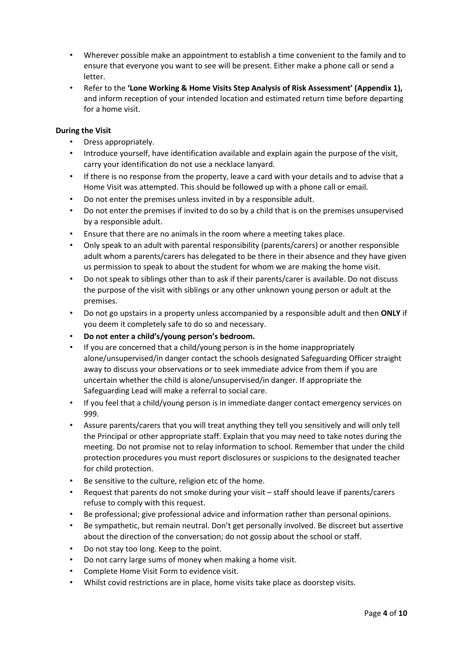- Wherever possible make an appointment to establish a time convenient to the family and to ensure that everyone you want to see will be present. Either make a phone call or send a letter.
- Refer to the **'Lone Working & Home Visits Step Analysis of Risk Assessment' (Appendix 1),**  and inform reception of your intended location and estimated return time before departing for a home visit.

# <span id="page-3-0"></span>**During the Visit**

- Dress appropriately.
- Introduce yourself, have identification available and explain again the purpose of the visit, carry your identification do not use a necklace lanyard.
- If there is no response from the property, leave a card with your details and to advise that a Home Visit was attempted. This should be followed up with a phone call or email.
- Do not enter the premises unless invited in by a responsible adult.
- Do not enter the premises if invited to do so by a child that is on the premises unsupervised by a responsible adult.
- Ensure that there are no animals in the room where a meeting takes place.
- Only speak to an adult with parental responsibility (parents/carers) or another responsible adult whom a parents/carers has delegated to be there in their absence and they have given us permission to speak to about the student for whom we are making the home visit.
- Do not speak to siblings other than to ask if their parents/carer is available. Do not discuss the purpose of the visit with siblings or any other unknown young person or adult at the premises.
- Do not go upstairs in a property unless accompanied by a responsible adult and then **ONLY** if you deem it completely safe to do so and necessary.
- **Do not enter a child's/young person's bedroom.**
- If you are concerned that a child/young person is in the home inappropriately alone/unsupervised/in danger contact the schools designated Safeguarding Officer straight away to discuss your observations or to seek immediate advice from them if you are uncertain whether the child is alone/unsupervised/in danger. If appropriate the Safeguarding Lead will make a referral to social care.
- If you feel that a child/young person is in immediate danger contact emergency services on 999.
- Assure parents/carers that you will treat anything they tell you sensitively and will only tell the Principal or other appropriate staff. Explain that you may need to take notes during the meeting. Do not promise not to relay information to school. Remember that under the child protection procedures you must report disclosures or suspicions to the designated teacher for child protection.
- Be sensitive to the culture, religion etc of the home.
- Request that parents do not smoke during your visit staff should leave if parents/carers refuse to comply with this request.
- Be professional; give professional advice and information rather than personal opinions.
- Be sympathetic, but remain neutral. Don't get personally involved. Be discreet but assertive about the direction of the conversation; do not gossip about the school or staff.
- Do not stay too long. Keep to the point.
- Do not carry large sums of money when making a home visit.
- Complete Home Visit Form to evidence visit.
- Whilst covid restrictions are in place, home visits take place as doorstep visits.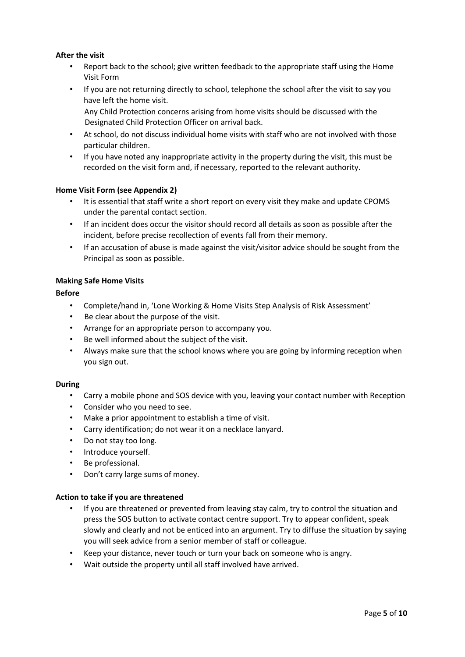# <span id="page-4-0"></span>**After the visit**

- Report back to the school; give written feedback to the appropriate staff using the Home Visit Form
- If you are not returning directly to school, telephone the school after the visit to say you have left the home visit.

Any Child Protection concerns arising from home visits should be discussed with the Designated Child Protection Officer on arrival back.

- At school, do not discuss individual home visits with staff who are not involved with those particular children.
- If you have noted any inappropriate activity in the property during the visit, this must be recorded on the visit form and, if necessary, reported to the relevant authority.

#### <span id="page-4-1"></span>**Home Visit Form (see Appendix 2)**

- It is essential that staff write a short report on every visit they make and update CPOMS under the parental contact section.
- If an incident does occur the visitor should record all details as soon as possible after the incident, before precise recollection of events fall from their memory.
- If an accusation of abuse is made against the visit/visitor advice should be sought from the Principal as soon as possible.

#### <span id="page-4-2"></span>**Making Safe Home Visits**

#### <span id="page-4-3"></span>**Before**

- Complete/hand in, 'Lone Working & Home Visits Step Analysis of Risk Assessment'
- Be clear about the purpose of the visit.
- Arrange for an appropriate person to accompany you.
- Be well informed about the subject of the visit.
- Always make sure that the school knows where you are going by informing reception when you sign out.

#### <span id="page-4-4"></span>**During**

- Carry a mobile phone and SOS device with you, leaving your contact number with Reception
- Consider who you need to see.
- Make a prior appointment to establish a time of visit.
- Carry identification; do not wear it on a necklace lanyard.
- Do not stay too long.
- Introduce yourself.
- Be professional.
- Don't carry large sums of money.

# <span id="page-4-5"></span>**Action to take if you are threatened**

- If you are threatened or prevented from leaving stay calm, try to control the situation and press the SOS button to activate contact centre support. Try to appear confident, speak slowly and clearly and not be enticed into an argument. Try to diffuse the situation by saying you will seek advice from a senior member of staff or colleague.
- Keep your distance, never touch or turn your back on someone who is angry.
- Wait outside the property until all staff involved have arrived.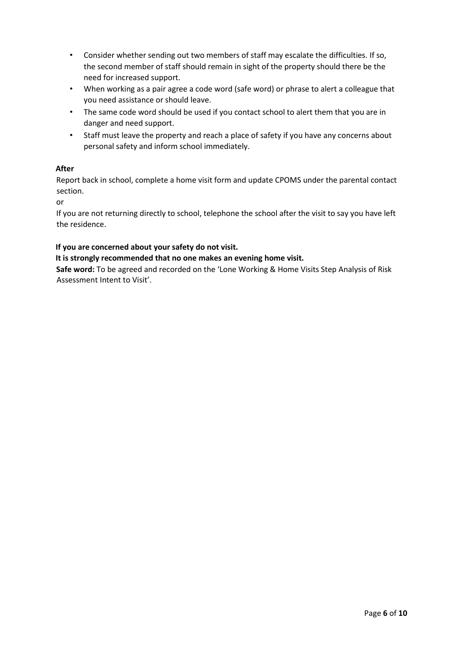- Consider whether sending out two members of staff may escalate the difficulties. If so, the second member of staff should remain in sight of the property should there be the need for increased support.
- When working as a pair agree a code word (safe word) or phrase to alert a colleague that you need assistance or should leave.
- The same code word should be used if you contact school to alert them that you are in danger and need support.
- Staff must leave the property and reach a place of safety if you have any concerns about personal safety and inform school immediately.

# <span id="page-5-0"></span>**After**

Report back in school, complete a home visit form and update CPOMS under the parental contact section.

or

If you are not returning directly to school, telephone the school after the visit to say you have left the residence.

# **If you are concerned about your safety do not visit.**

**It is strongly recommended that no one makes an evening home visit.** 

**Safe word:** To be agreed and recorded on the 'Lone Working & Home Visits Step Analysis of Risk Assessment Intent to Visit'.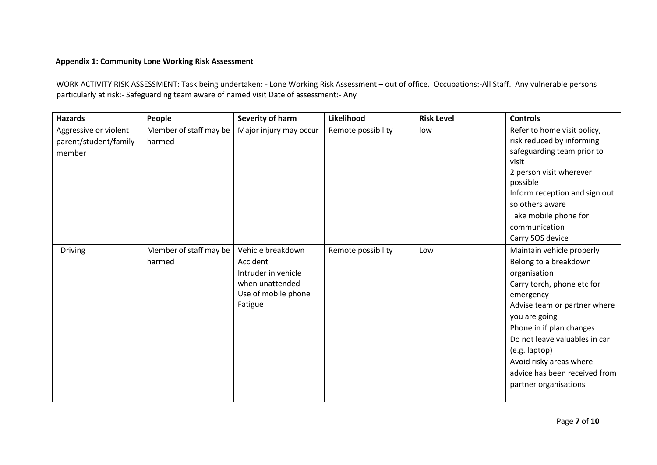# **Appendix 1: Community Lone Working Risk Assessment**

WORK ACTIVITY RISK ASSESSMENT: Task being undertaken: - Lone Working Risk Assessment – out of office. Occupations:-All Staff. Any vulnerable persons particularly at risk:- Safeguarding team aware of named visit Date of assessment:- Any

<span id="page-6-0"></span>

| <b>Hazards</b>                                           | People                           | Severity of harm                                                                                          | Likelihood         | <b>Risk Level</b> | <b>Controls</b>                                                                                                                                                                                                                                                                                                                   |
|----------------------------------------------------------|----------------------------------|-----------------------------------------------------------------------------------------------------------|--------------------|-------------------|-----------------------------------------------------------------------------------------------------------------------------------------------------------------------------------------------------------------------------------------------------------------------------------------------------------------------------------|
| Aggressive or violent<br>parent/student/family<br>member | Member of staff may be<br>harmed | Major injury may occur                                                                                    | Remote possibility | low               | Refer to home visit policy,<br>risk reduced by informing<br>safeguarding team prior to<br>visit<br>2 person visit wherever<br>possible<br>Inform reception and sign out<br>so others aware<br>Take mobile phone for<br>communication<br>Carry SOS device                                                                          |
| Driving                                                  | Member of staff may be<br>harmed | Vehicle breakdown<br>Accident<br>Intruder in vehicle<br>when unattended<br>Use of mobile phone<br>Fatigue | Remote possibility | Low               | Maintain vehicle properly<br>Belong to a breakdown<br>organisation<br>Carry torch, phone etc for<br>emergency<br>Advise team or partner where<br>you are going<br>Phone in if plan changes<br>Do not leave valuables in car<br>(e.g. laptop)<br>Avoid risky areas where<br>advice has been received from<br>partner organisations |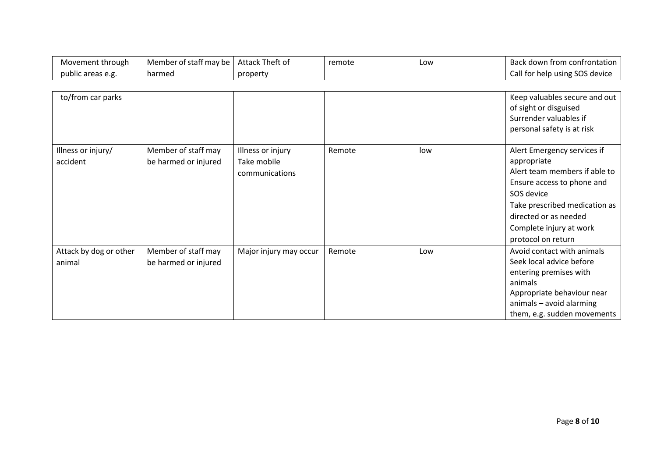| Movement through       | Member of staff may be | Attack Theft of        | remote | Low | Back down from confrontation   |
|------------------------|------------------------|------------------------|--------|-----|--------------------------------|
| public areas e.g.      | harmed                 | property               |        |     | Call for help using SOS device |
|                        |                        |                        |        |     |                                |
| to/from car parks      |                        |                        |        |     | Keep valuables secure and out  |
|                        |                        |                        |        |     | of sight or disguised          |
|                        |                        |                        |        |     | Surrender valuables if         |
|                        |                        |                        |        |     | personal safety is at risk     |
|                        |                        |                        |        |     |                                |
| Illness or injury/     | Member of staff may    | Illness or injury      | Remote | low | Alert Emergency services if    |
| accident               | be harmed or injured   | Take mobile            |        |     | appropriate                    |
|                        |                        | communications         |        |     | Alert team members if able to  |
|                        |                        |                        |        |     | Ensure access to phone and     |
|                        |                        |                        |        |     | SOS device                     |
|                        |                        |                        |        |     | Take prescribed medication as  |
|                        |                        |                        |        |     | directed or as needed          |
|                        |                        |                        |        |     | Complete injury at work        |
|                        |                        |                        |        |     | protocol on return             |
| Attack by dog or other | Member of staff may    | Major injury may occur | Remote | Low | Avoid contact with animals     |
| animal                 | be harmed or injured   |                        |        |     | Seek local advice before       |
|                        |                        |                        |        |     | entering premises with         |
|                        |                        |                        |        |     | animals                        |
|                        |                        |                        |        |     | Appropriate behaviour near     |
|                        |                        |                        |        |     | animals - avoid alarming       |
|                        |                        |                        |        |     | them, e.g. sudden movements    |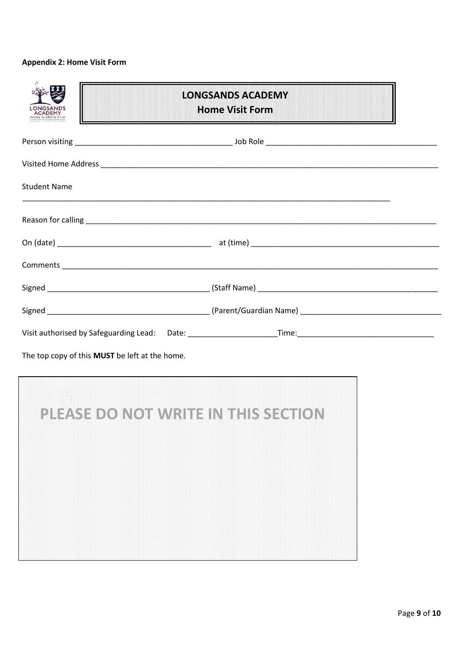# <span id="page-8-0"></span>**Appendix 2: Home Visit Form**

| CADEMY                                         | <b>LONGSANDS ACADEMY</b><br><b>Home Visit Form</b> |
|------------------------------------------------|----------------------------------------------------|
|                                                |                                                    |
|                                                |                                                    |
| <b>Student Name</b>                            |                                                    |
|                                                |                                                    |
|                                                |                                                    |
|                                                |                                                    |
|                                                |                                                    |
|                                                |                                                    |
|                                                |                                                    |
| The top copy of this MUST be left at the home. |                                                    |
|                                                | PLEASE DO NOT WRITE IN THIS SECTION                |